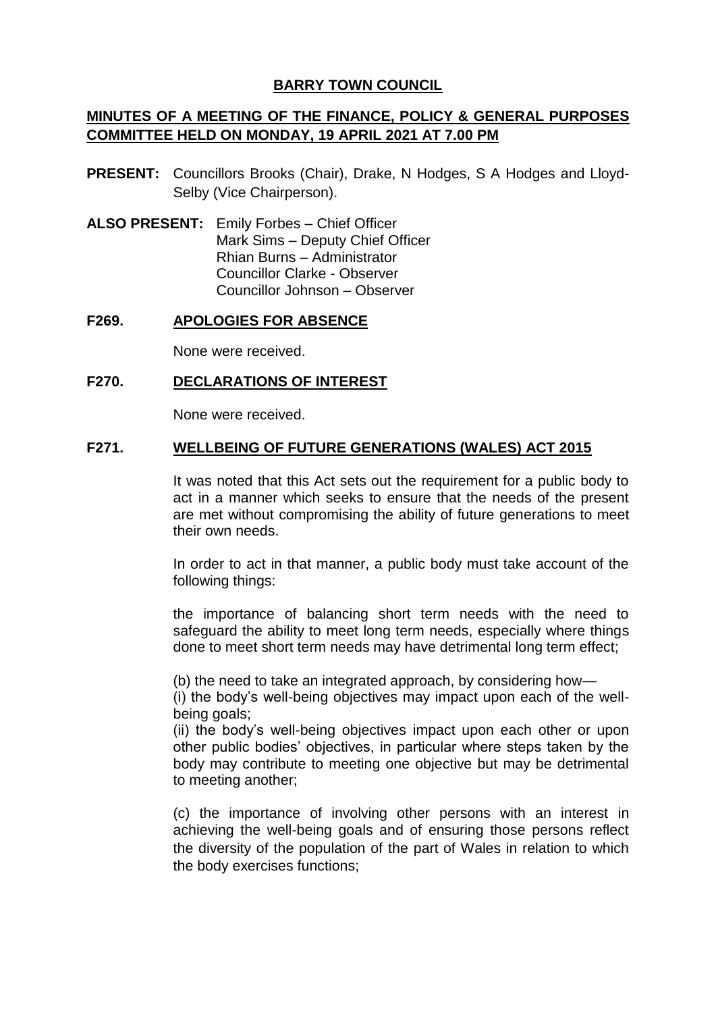## **BARRY TOWN COUNCIL**

# **MINUTES OF A MEETING OF THE FINANCE, POLICY & GENERAL PURPOSES COMMITTEE HELD ON MONDAY, 19 APRIL 2021 AT 7.00 PM**

- **PRESENT:** Councillors Brooks (Chair), Drake, N Hodges, S A Hodges and Lloyd-Selby (Vice Chairperson).
- **ALSO PRESENT:** Emily Forbes Chief Officer Mark Sims – Deputy Chief Officer Rhian Burns – Administrator Councillor Clarke - Observer Councillor Johnson – Observer

#### **F269. APOLOGIES FOR ABSENCE**

None were received.

#### **F270. DECLARATIONS OF INTEREST**

None were received.

#### **F271. WELLBEING OF FUTURE GENERATIONS (WALES) ACT 2015**

It was noted that this Act sets out the requirement for a public body to act in a manner which seeks to ensure that the needs of the present are met without compromising the ability of future generations to meet their own needs.

In order to act in that manner, a public body must take account of the following things:

the importance of balancing short term needs with the need to safeguard the ability to meet long term needs, especially where things done to meet short term needs may have detrimental long term effect;

(b) the need to take an integrated approach, by considering how—

(i) the body's well-being objectives may impact upon each of the wellbeing goals;

(ii) the body's well-being objectives impact upon each other or upon other public bodies' objectives, in particular where steps taken by the body may contribute to meeting one objective but may be detrimental to meeting another;

(c) the importance of involving other persons with an interest in achieving the well-being goals and of ensuring those persons reflect the diversity of the population of the part of Wales in relation to which the body exercises functions;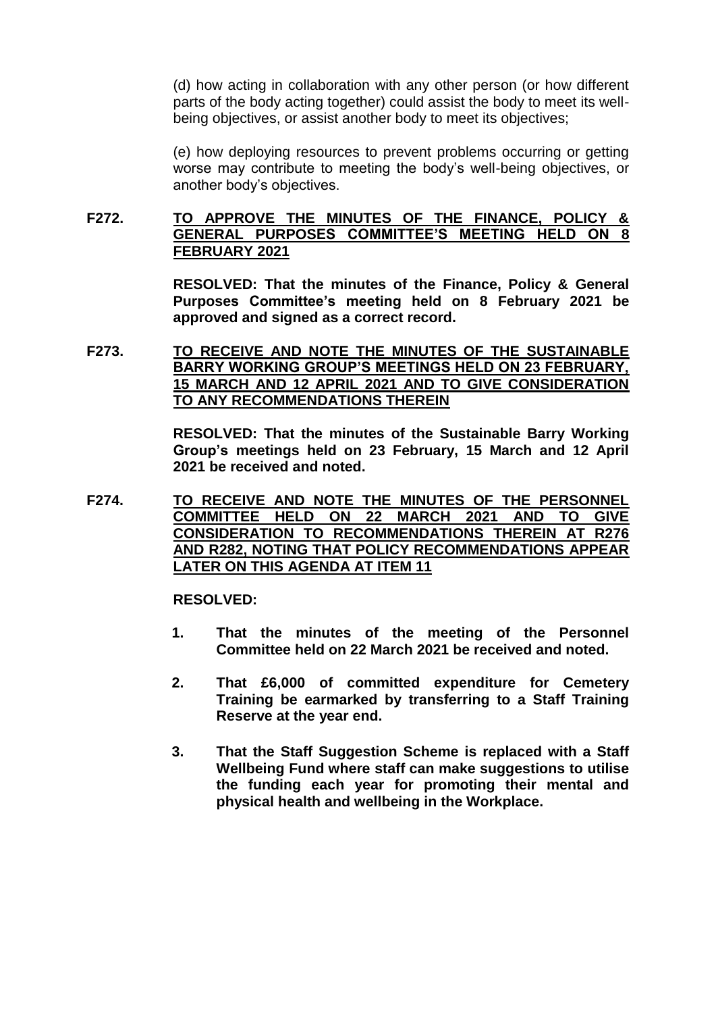(d) how acting in collaboration with any other person (or how different parts of the body acting together) could assist the body to meet its wellbeing objectives, or assist another body to meet its objectives;

(e) how deploying resources to prevent problems occurring or getting worse may contribute to meeting the body's well-being objectives, or another body's objectives.

## **F272. TO APPROVE THE MINUTES OF THE FINANCE, POLICY & GENERAL PURPOSES COMMITTEE'S MEETING HELD ON 8 FEBRUARY 2021**

**RESOLVED: That the minutes of the Finance, Policy & General Purposes Committee's meeting held on 8 February 2021 be approved and signed as a correct record.**

**F273. TO RECEIVE AND NOTE THE MINUTES OF THE SUSTAINABLE BARRY WORKING GROUP'S MEETINGS HELD ON 23 FEBRUARY, 15 MARCH AND 12 APRIL 2021 AND TO GIVE CONSIDERATION TO ANY RECOMMENDATIONS THEREIN**

> **RESOLVED: That the minutes of the Sustainable Barry Working Group's meetings held on 23 February, 15 March and 12 April 2021 be received and noted.**

**F274. TO RECEIVE AND NOTE THE MINUTES OF THE PERSONNEL COMMITTEE HELD ON 22 MARCH 2021 AND TO GIVE CONSIDERATION TO RECOMMENDATIONS THEREIN AT R276 AND R282, NOTING THAT POLICY RECOMMENDATIONS APPEAR LATER ON THIS AGENDA AT ITEM 11**

**RESOLVED:** 

- **1. That the minutes of the meeting of the Personnel Committee held on 22 March 2021 be received and noted.**
- **2. That £6,000 of committed expenditure for Cemetery Training be earmarked by transferring to a Staff Training Reserve at the year end.**
- **3. That the Staff Suggestion Scheme is replaced with a Staff Wellbeing Fund where staff can make suggestions to utilise the funding each year for promoting their mental and physical health and wellbeing in the Workplace.**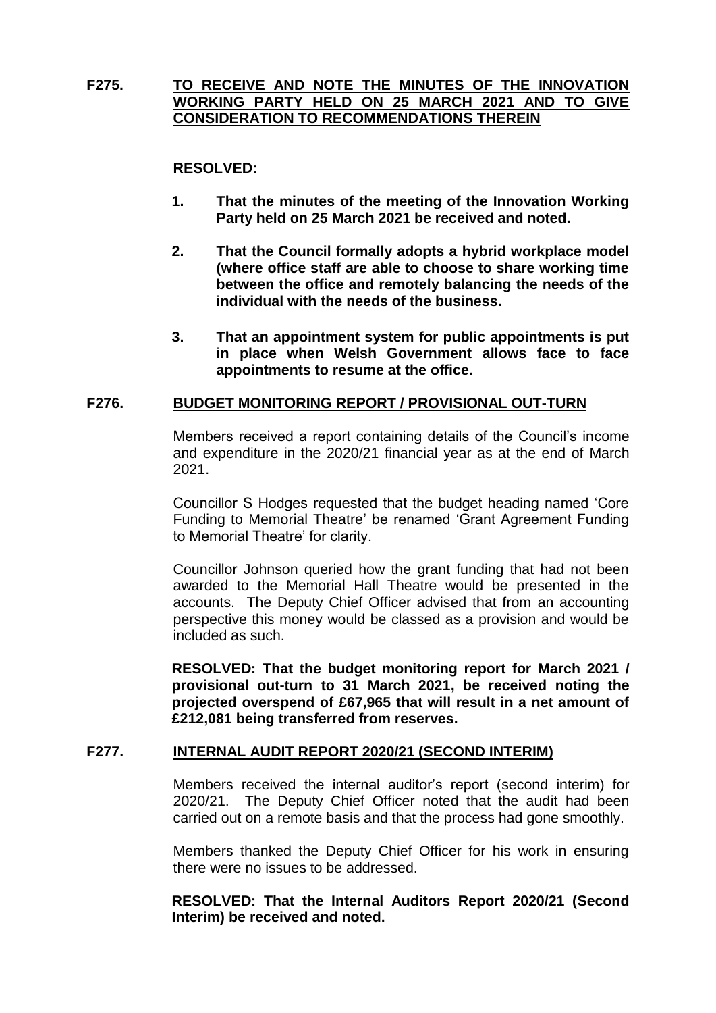## **F275. TO RECEIVE AND NOTE THE MINUTES OF THE INNOVATION WORKING PARTY HELD ON 25 MARCH 2021 AND TO GIVE CONSIDERATION TO RECOMMENDATIONS THEREIN**

### **RESOLVED:**

- **1. That the minutes of the meeting of the Innovation Working Party held on 25 March 2021 be received and noted.**
- **2. That the Council formally adopts a hybrid workplace model (where office staff are able to choose to share working time between the office and remotely balancing the needs of the individual with the needs of the business.**
- **3. That an appointment system for public appointments is put in place when Welsh Government allows face to face appointments to resume at the office.**

#### **F276. BUDGET MONITORING REPORT / PROVISIONAL OUT-TURN**

Members received a report containing details of the Council's income and expenditure in the 2020/21 financial year as at the end of March 2021.

Councillor S Hodges requested that the budget heading named 'Core Funding to Memorial Theatre' be renamed 'Grant Agreement Funding to Memorial Theatre' for clarity.

Councillor Johnson queried how the grant funding that had not been awarded to the Memorial Hall Theatre would be presented in the accounts. The Deputy Chief Officer advised that from an accounting perspective this money would be classed as a provision and would be included as such.

**RESOLVED: That the budget monitoring report for March 2021 / provisional out-turn to 31 March 2021, be received noting the projected overspend of £67,965 that will result in a net amount of £212,081 being transferred from reserves.**

## **F277. INTERNAL AUDIT REPORT 2020/21 (SECOND INTERIM)**

Members received the internal auditor's report (second interim) for 2020/21. The Deputy Chief Officer noted that the audit had been carried out on a remote basis and that the process had gone smoothly.

Members thanked the Deputy Chief Officer for his work in ensuring there were no issues to be addressed.

**RESOLVED: That the Internal Auditors Report 2020/21 (Second Interim) be received and noted.**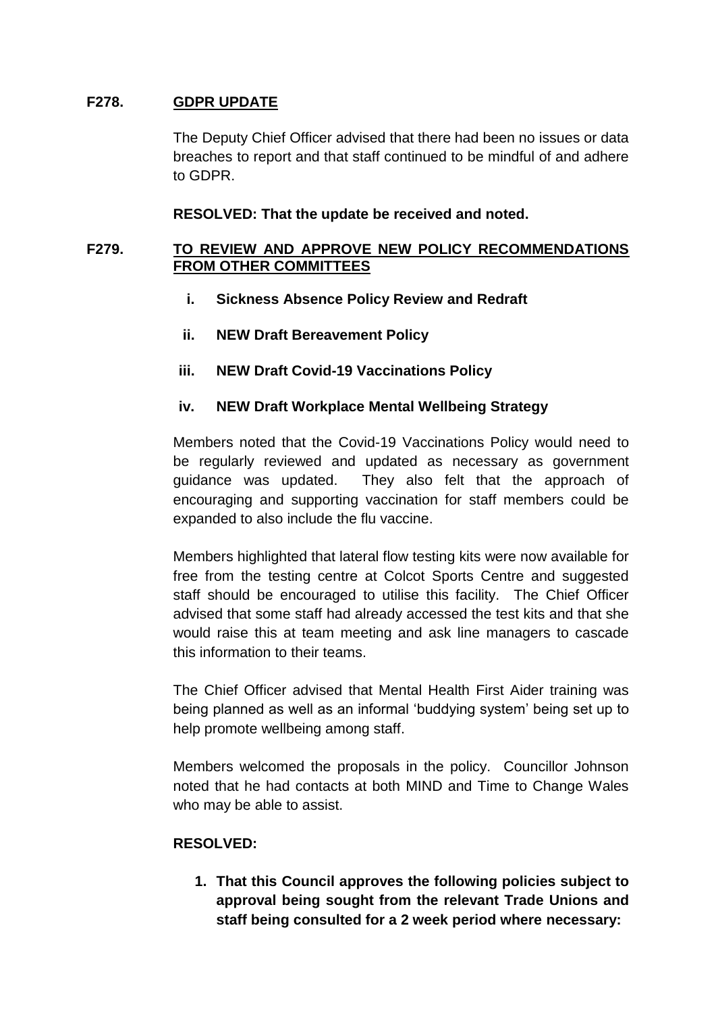## **F278. GDPR UPDATE**

The Deputy Chief Officer advised that there had been no issues or data breaches to report and that staff continued to be mindful of and adhere to GDPR.

### **RESOLVED: That the update be received and noted.**

## **F279. TO REVIEW AND APPROVE NEW POLICY RECOMMENDATIONS FROM OTHER COMMITTEES**

- **i. Sickness Absence Policy Review and Redraft**
- **ii. NEW Draft Bereavement Policy**
- **iii. NEW Draft Covid-19 Vaccinations Policy**

## **iv. NEW Draft Workplace Mental Wellbeing Strategy**

Members noted that the Covid-19 Vaccinations Policy would need to be regularly reviewed and updated as necessary as government guidance was updated. They also felt that the approach of encouraging and supporting vaccination for staff members could be expanded to also include the flu vaccine.

Members highlighted that lateral flow testing kits were now available for free from the testing centre at Colcot Sports Centre and suggested staff should be encouraged to utilise this facility. The Chief Officer advised that some staff had already accessed the test kits and that she would raise this at team meeting and ask line managers to cascade this information to their teams.

The Chief Officer advised that Mental Health First Aider training was being planned as well as an informal 'buddying system' being set up to help promote wellbeing among staff.

Members welcomed the proposals in the policy. Councillor Johnson noted that he had contacts at both MIND and Time to Change Wales who may be able to assist.

## **RESOLVED:**

**1. That this Council approves the following policies subject to approval being sought from the relevant Trade Unions and staff being consulted for a 2 week period where necessary:**